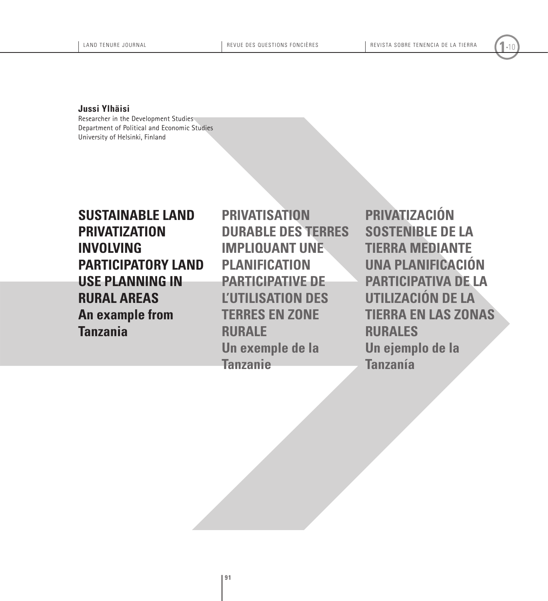**Jussi Ylhäisi**

Researcher in the Development Studies Department of Political and Economic Studies University of Helsinki, Finland

**Sustainable land privatization involving participatory land use planning in rural areas An example from Tanzania**

**Privatisation durable des terres impliquant une planification participative de l'utilisation des terres en zone rurale Un exemple de la Tanzanie**

Noting the control of the series of the series of the series of the series of the series of the series of the series of the series of the series of the series of the series of the series of the series of the series of the **Privatización sostenible de la tierra mediante una planificación participativa de la utilización de la tierra en las zonas rurales Un ejemplo de la Tanzanía**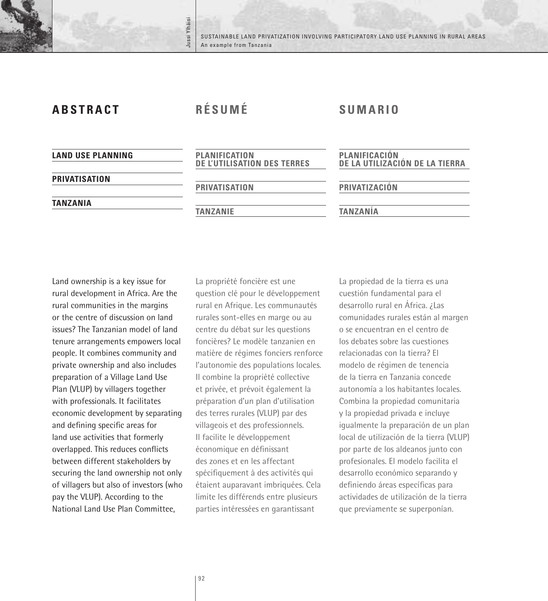Sustainable land privatization involving participatory land use planning in rural areas an example from Tanzania

| <b>ABSTRACT</b>          | RÉSUMÉ                                                     | <b>SUMARIO</b>                                          |
|--------------------------|------------------------------------------------------------|---------------------------------------------------------|
| <b>LAND USE PLANNING</b> | <b>PLANIFICATION</b><br><b>DE L'UTILISATION DES TERRES</b> | <b>PLANIFICACIÓN<br/>DE LA UTILIZACIÓN DE LA TIERRA</b> |
| <b>PRIVATISATION</b>     | <b>PRIVATISATION</b>                                       | PRIVATIZACIÓN                                           |
| <b>TANZANIA</b>          | <b>TANZANIE</b>                                            | <b>TANZANIA</b>                                         |

Jussi Ylhäisi

Jussi Ylhäisi

Land ownership is a key issue for rural development in Africa. Are the rural communities in the margins or the centre of discussion on land issues? The Tanzanian model of land tenure arrangements empowers local people. It combines community and private ownership and also includes preparation of a Village Land Use Plan (VLUP) by villagers together with professionals. It facilitates economic development by separating and defining specific areas for land use activities that formerly overlapped. This reduces conflicts between different stakeholders by securing the land ownership not only of villagers but also of investors (who pay the VLUP). According to the National Land Use Plan Committee,

La propriété foncière est une question clé pour le développement rural en Afrique. Les communautés rurales sont-elles en marge ou au centre du débat sur les questions foncières? Le modèle tanzanien en matière de régimes fonciers renforce l'autonomie des populations locales. Il combine la propriété collective et privée, et prévoit également la préparation d'un plan d'utilisation des terres rurales (VLUP) par des villageois et des professionnels. Il facilite le développement économique en définissant des zones et en les affectant spécifiquement à des activités qui étaient auparavant imbriquées. Cela limite les différends entre plusieurs parties intéressées en garantissant

La propiedad de la tierra es una cuestión fundamental para el desarrollo rural en África. ¿Las comunidades rurales están al margen o se encuentran en el centro de los debates sobre las cuestiones relacionadas con la tierra? El modelo de régimen de tenencia de la tierra en Tanzania concede autonomía a los habitantes locales. Combina la propiedad comunitaria y la propiedad privada e incluye igualmente la preparación de un plan local de utilización de la tierra (VLUP) por parte de los aldeanos junto con profesionales. El modelo facilita el desarrollo económico separando y definiendo áreas específicas para actividades de utilización de la tierra que previamente se superponían.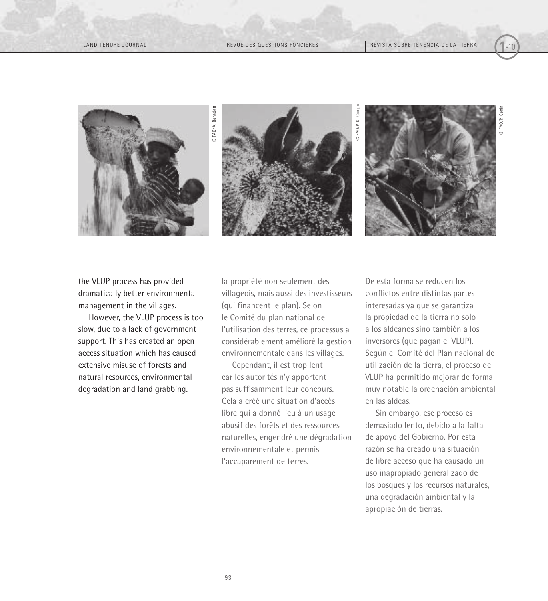

© FAO/P. Cenini

the VLUP process has provided dramatically better environmental management in the villages.

However, the VLUP process is too slow, due to a lack of government support. This has created an open access situation which has caused extensive misuse of forests and natural resources, environmental degradation and land grabbing.

la propriété non seulement des villageois, mais aussi des investisseurs (qui financent le plan). Selon le Comité du plan national de l'utilisation des terres, ce processus a considérablement amélioré la gestion environnementale dans les villages.

Cependant, il est trop lent car les autorités n'y apportent pas suffisamment leur concours. Cela a créé une situation d'accès libre qui a donné lieu à un usage abusif des forêts et des ressources naturelles, engendré une dégradation environnementale et permis l'accaparement de terres.

De esta forma se reducen los conflictos entre distintas partes interesadas ya que se garantiza la propiedad de la tierra no solo a los aldeanos sino también a los inversores (que pagan el VLUP). Según el Comité del Plan nacional de utilización de la tierra, el proceso del VLUP ha permitido mejorar de forma muy notable la ordenación ambiental en las aldeas.

Sin embargo, ese proceso es demasiado lento, debido a la falta de apoyo del Gobierno. Por esta razón se ha creado una situación de libre acceso que ha causado un uso inapropiado generalizado de los bosques y los recursos naturales, una degradación ambiental y la apropiación de tierras.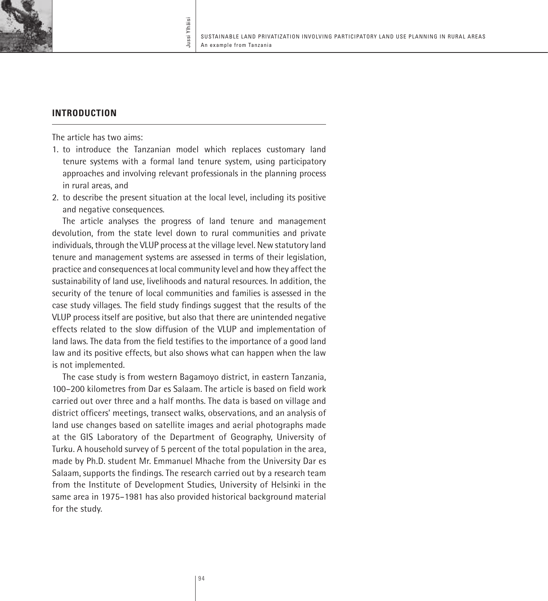

# **Introduction**

The article has two aims:

- 1. to introduce the Tanzanian model which replaces customary land tenure systems with a formal land tenure system, using participatory approaches and involving relevant professionals in the planning process in rural areas, and
- 2. to describe the present situation at the local level, including its positive and negative consequences.

The article analyses the progress of land tenure and management devolution, from the state level down to rural communities and private individuals, through the VLUP process at the village level. New statutory land tenure and management systems are assessed in terms of their legislation, practice and consequences at local community level and how they affect the sustainability of land use, livelihoods and natural resources. In addition, the security of the tenure of local communities and families is assessed in the case study villages. The field study findings suggest that the results of the VLUP process itself are positive, but also that there are unintended negative effects related to the slow diffusion of the VLUP and implementation of land laws. The data from the field testifies to the importance of a good land law and its positive effects, but also shows what can happen when the law is not implemented.

The case study is from western Bagamoyo district, in eastern Tanzania, 100–200 kilometres from Dar es Salaam. The article is based on field work carried out over three and a half months. The data is based on village and district officers' meetings, transect walks, observations, and an analysis of land use changes based on satellite images and aerial photographs made at the GIS Laboratory of the Department of Geography, University of Turku. A household survey of 5 percent of the total population in the area, made by Ph.D. student Mr. Emmanuel Mhache from the University Dar es Salaam, supports the findings. The research carried out by a research team from the Institute of Development Studies, University of Helsinki in the same area in 1975–1981 has also provided historical background material for the study.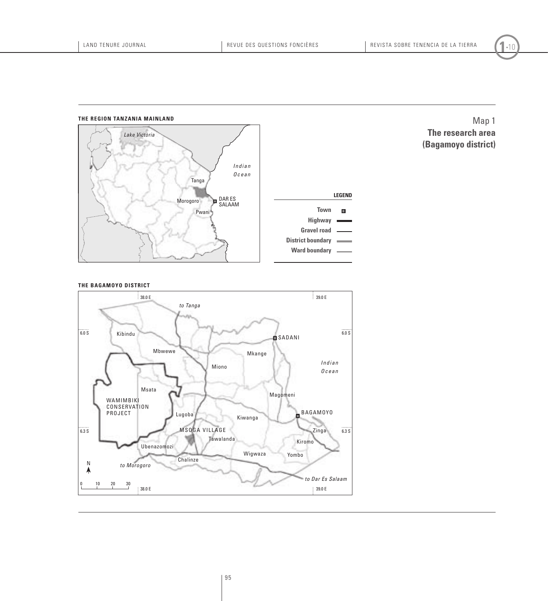## **the region tanzania mainland** *Lake Victoria I n d i a n Ocean* Tanga **Legend**Morogoro Dar Es Salaam **Town**  $\blacksquare$ Pwani **Highway Gravel road District boundary Ward boundary**

Map 1 **The research area (Bagamoyo district)**



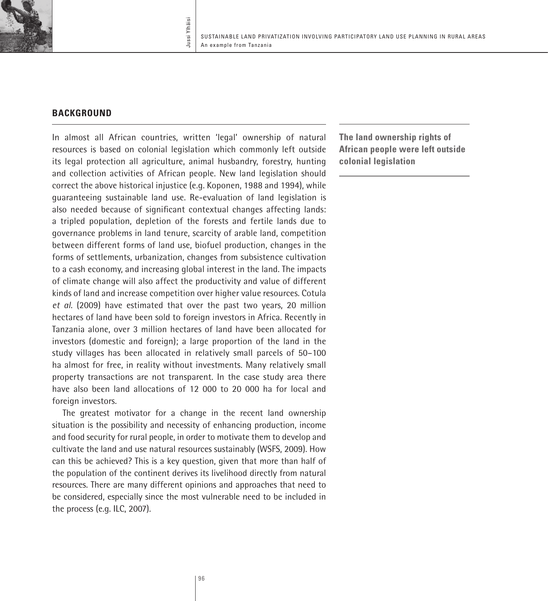

# **BACKGROUND**

In almost all African countries, written 'legal' ownership of natural resources is based on colonial legislation which commonly left outside its legal protection all agriculture, animal husbandry, forestry, hunting and collection activities of African people. New land legislation should correct the above historical injustice (e.g. Koponen, 1988 and 1994), while guaranteeing sustainable land use. Re-evaluation of land legislation is also needed because of significant contextual changes affecting lands: a tripled population, depletion of the forests and fertile lands due to governance problems in land tenure, scarcity of arable land, competition between different forms of land use, biofuel production, changes in the forms of settlements, urbanization, changes from subsistence cultivation to a cash economy, and increasing global interest in the land. The impacts of climate change will also affect the productivity and value of different kinds of land and increase competition over higher value resources. Cotula *et al*. (2009) have estimated that over the past two years, 20 million hectares of land have been sold to foreign investors in Africa. Recently in Tanzania alone, over 3 million hectares of land have been allocated for investors (domestic and foreign); a large proportion of the land in the study villages has been allocated in relatively small parcels of 50–100 ha almost for free, in reality without investments. Many relatively small property transactions are not transparent. In the case study area there have also been land allocations of 12 000 to 20 000 ha for local and foreign investors.

The greatest motivator for a change in the recent land ownership situation is the possibility and necessity of enhancing production, income and food security for rural people, in order to motivate them to develop and cultivate the land and use natural resources sustainably (WSFS, 2009). How can this be achieved? This is a key question, given that more than half of the population of the continent derives its livelihood directly from natural resources. There are many different opinions and approaches that need to be considered, especially since the most vulnerable need to be included in the process (e.g. ILC, 2007).

**The land ownership rights of African people were left outside colonial legislation**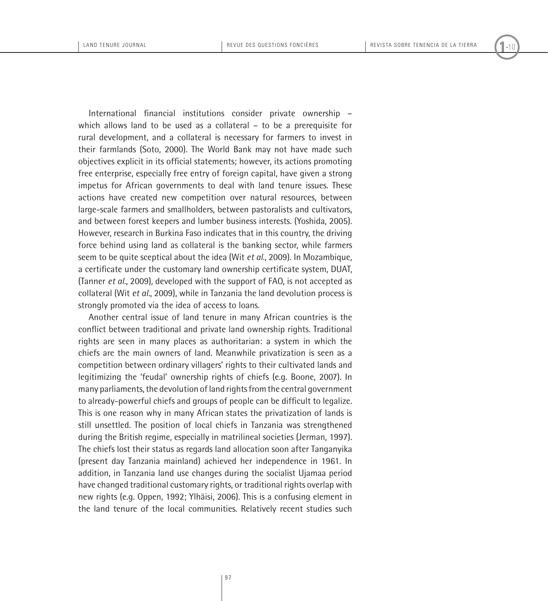International financial institutions consider private ownership – which allows land to be used as a collateral – to be a prerequisite for rural development, and a collateral is necessary for farmers to invest in their farmlands (Soto, 2000). The World Bank may not have made such objectives explicit in its official statements; however, its actions promoting free enterprise, especially free entry of foreign capital, have given a strong impetus for African governments to deal with land tenure issues. These actions have created new competition over natural resources, between large-scale farmers and smallholders, between pastoralists and cultivators, and between forest keepers and lumber business interests. (Yoshida, 2005). However, research in Burkina Faso indicates that in this country, the driving force behind using land as collateral is the banking sector, while farmers seem to be quite sceptical about the idea (Wit *et al*., 2009). In Mozambique, a certificate under the customary land ownership certificate system, DUAT, (Tanner *et al.*, 2009)*,* developed with the support of FAO, is not accepted as collateral (Wit *et al.*, 2009), while in Tanzania the land devolution process is strongly promoted via the idea of access to loans.

Another central issue of land tenure in many African countries is the conflict between traditional and private land ownership rights. Traditional rights are seen in many places as authoritarian: a system in which the chiefs are the main owners of land. Meanwhile privatization is seen as a competition between ordinary villagers' rights to their cultivated lands and legitimizing the 'feudal' ownership rights of chiefs (e.g. Boone, 2007). In many parliaments, the devolution of land rights from the central government to already-powerful chiefs and groups of people can be difficult to legalize. This is one reason why in many African states the privatization of lands is still unsettled. The position of local chiefs in Tanzania was strengthened during the British regime, especially in matrilineal societies (Jerman, 1997). The chiefs lost their status as regards land allocation soon after Tanganyika (present day Tanzania mainland) achieved her independence in 1961. In addition, in Tanzania land use changes during the socialist Ujamaa period have changed traditional customary rights, or traditional rights overlap with new rights (e.g. Oppen, 1992; Ylhäisi, 2006). This is a confusing element in the land tenure of the local communities. Relatively recent studies such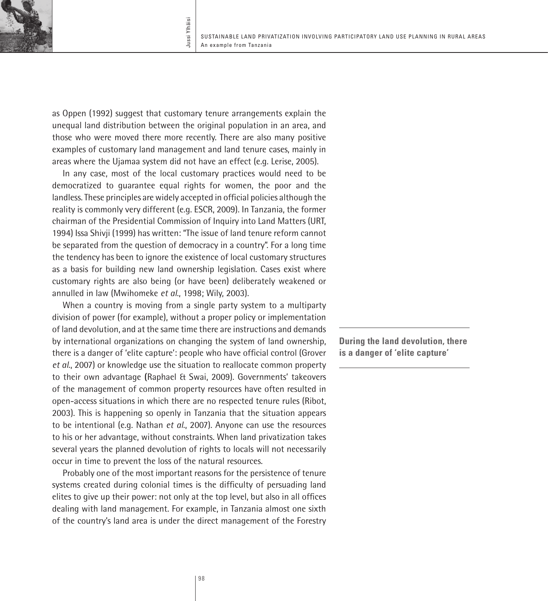

as Oppen (1992) suggest that customary tenure arrangements explain the unequal land distribution between the original population in an area, and those who were moved there more recently. There are also many positive examples of customary land management and land tenure cases, mainly in areas where the Ujamaa system did not have an effect (e.g. Lerise, 2005).

In any case, most of the local customary practices would need to be democratized to guarantee equal rights for women, the poor and the landless. These principles are widely accepted in official policies although the reality is commonly very different (e.g. ESCR, 2009). In Tanzania, the former chairman of the Presidential Commission of Inquiry into Land Matters (URT, 1994) Issa Shivji (1999) has written: "The issue of land tenure reform cannot be separated from the question of democracy in a country". For a long time the tendency has been to ignore the existence of local customary structures as a basis for building new land ownership legislation. Cases exist where customary rights are also being (or have been) deliberately weakened or annulled in law (Mwihomeke *et al*., 1998; Wily, 2003).

When a country is moving from a single party system to a multiparty division of power (for example), without a proper policy or implementation of land devolution, and at the same time there are instructions and demands by international organizations on changing the system of land ownership, there is a danger of 'elite capture': people who have official control (Grover *et al*., 2007) or knowledge use the situation to reallocate common property to their own advantage **(**Raphael & Swai, 2009). Governments' takeovers of the management of common property resources have often resulted in open-access situations in which there are no respected tenure rules (Ribot, 2003). This is happening so openly in Tanzania that the situation appears to be intentional (e.g. Nathan *et al*., 2007). Anyone can use the resources to his or her advantage, without constraints. When land privatization takes several years the planned devolution of rights to locals will not necessarily occur in time to prevent the loss of the natural resources.

Probably one of the most important reasons for the persistence of tenure systems created during colonial times is the difficulty of persuading land elites to give up their power: not only at the top level, but also in all offices dealing with land management. For example, in Tanzania almost one sixth of the country's land area is under the direct management of the Forestry

**During the land devolution, there is a danger of 'elite capture'**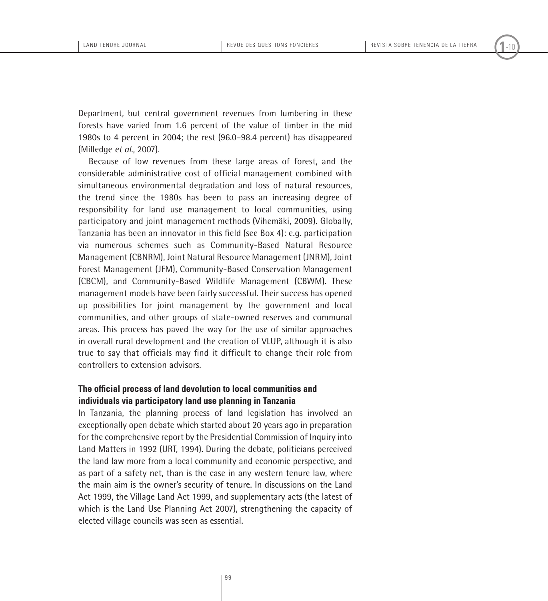Department, but central government revenues from lumbering in these forests have varied from 1.6 percent of the value of timber in the mid 1980s to 4 percent in 2004; the rest (96.0–98.4 percent) has disappeared (Milledge *et al*., 2007).

Because of low revenues from these large areas of forest, and the considerable administrative cost of official management combined with simultaneous environmental degradation and loss of natural resources, the trend since the 1980s has been to pass an increasing degree of responsibility for land use management to local communities, using participatory and joint management methods (Vihemäki, 2009). Globally, Tanzania has been an innovator in this field (see Box 4): e.g. participation via numerous schemes such as Community-Based Natural Resource Management (CBNRM), Joint Natural Resource Management (JNRM), Joint Forest Management (JFM), Community-Based Conservation Management (CBCM), and Community-Based Wildlife Management (CBWM). These management models have been fairly successful. Their success has opened up possibilities for joint management by the government and local communities, and other groups of state-owned reserves and communal areas. This process has paved the way for the use of similar approaches in overall rural development and the creation of VLUP, although it is also true to say that officials may find it difficult to change their role from controllers to extension advisors.

# **The official process of land devolution to local communities and individuals via participatory land use planning in Tanzania**

In Tanzania, the planning process of land legislation has involved an exceptionally open debate which started about 20 years ago in preparation for the comprehensive report by the Presidential Commission of Inquiry into Land Matters in 1992 (URT, 1994). During the debate, politicians perceived the land law more from a local community and economic perspective, and as part of a safety net, than is the case in any western tenure law, where the main aim is the owner's security of tenure. In discussions on the Land Act 1999, the Village Land Act 1999, and supplementary acts (the latest of which is the Land Use Planning Act 2007), strengthening the capacity of elected village councils was seen as essential.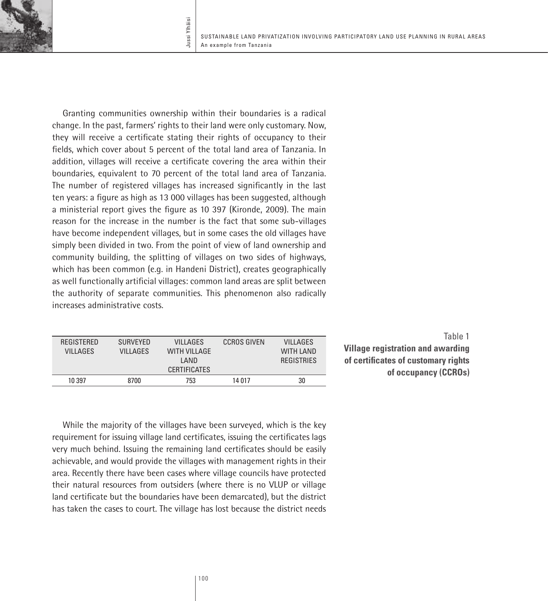

Granting communities ownership within their boundaries is a radical change. In the past, farmers' rights to their land were only customary. Now, they will receive a certificate stating their rights of occupancy to their fields, which cover about 5 percent of the total land area of Tanzania. In addition, villages will receive a certificate covering the area within their boundaries, equivalent to 70 percent of the total land area of Tanzania. The number of registered villages has increased significantly in the last ten years: a figure as high as 13 000 villages has been suggested, although a ministerial report gives the figure as 10 397 (Kironde, 2009). The main reason for the increase in the number is the fact that some sub-villages have become independent villages, but in some cases the old villages have simply been divided in two. From the point of view of land ownership and community building, the splitting of villages on two sides of highways, which has been common (e.g. in Handeni District), creates geographically as well functionally artificial villages: common land areas are split between the authority of separate communities. This phenomenon also radically increases administrative costs.

| REGISTERED<br><b>VILLAGES</b> | <b>SURVEYED</b><br><b>VILLAGES</b> | <b>VILLAGES</b><br><b>WITH VILLAGE</b><br>I AND<br><b>CERTIFICATES</b> | <b>CCROS GIVEN</b> | <b>VILLAGES</b><br><b>WITH LAND</b><br><b>REGISTRIES</b> |
|-------------------------------|------------------------------------|------------------------------------------------------------------------|--------------------|----------------------------------------------------------|
| 10 397                        | 8700                               | 753                                                                    | 14 017             | 30                                                       |

Table 1 **Village registration and awarding of certificates of customary rights of occupancy (CCROs)**

While the majority of the villages have been surveyed, which is the key requirement for issuing village land certificates, issuing the certificates lags very much behind. Issuing the remaining land certificates should be easily achievable, and would provide the villages with management rights in their area. Recently there have been cases where village councils have protected their natural resources from outsiders (where there is no VLUP or village land certificate but the boundaries have been demarcated), but the district has taken the cases to court. The village has lost because the district needs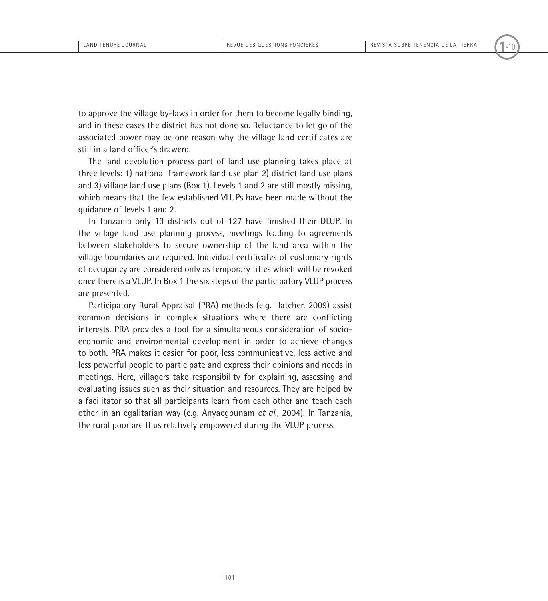to approve the village by-laws in order for them to become legally binding, and in these cases the district has not done so. Reluctance to let go of the associated power may be one reason why the village land certificates are still in a land officer's drawerd.

The land devolution process part of land use planning takes place at three levels: 1) national framework land use plan 2) district land use plans and 3) village land use plans (Box 1). Levels 1 and 2 are still mostly missing, which means that the few established VLUPs have been made without the guidance of levels 1 and 2.

In Tanzania only 13 districts out of 127 have finished their DLUP. In the village land use planning process, meetings leading to agreements between stakeholders to secure ownership of the land area within the village boundaries are required. Individual certificates of customary rights of occupancy are considered only as temporary titles which will be revoked once there is a VLUP. In Box 1 the six steps of the participatory VLUP process are presented.

Participatory Rural Appraisal (PRA) methods (e.g. Hatcher, 2009) assist common decisions in complex situations where there are conflicting interests. PRA provides a tool for a simultaneous consideration of socioeconomic and environmental development in order to achieve changes to both. PRA makes it easier for poor, less communicative, less active and less powerful people to participate and express their opinions and needs in meetings. Here, villagers take responsibility for explaining, assessing and evaluating issues such as their situation and resources. They are helped by a facilitator so that all participants learn from each other and teach each other in an egalitarian way (e.g. Anyaegbunam *et al*., 2004). In Tanzania, the rural poor are thus relatively empowered during the VLUP process.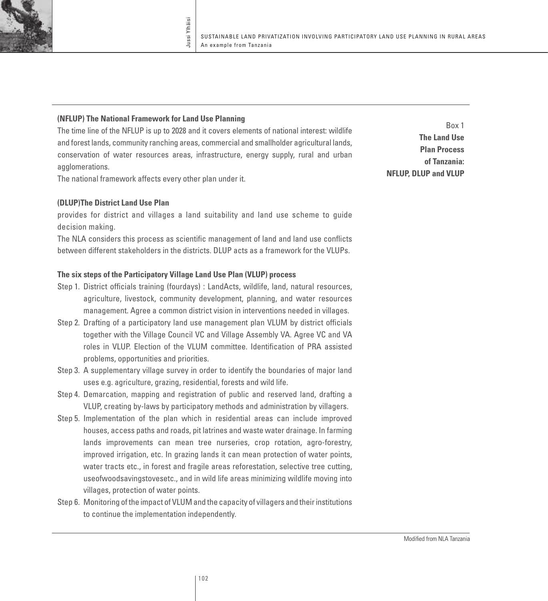#### **(NFLUP) The National Framework for Land Use Planning**

The time line of the NFLUP is up to 2028 and it covers elements of national interest: wildlife and forest lands, community ranching areas, commercial and smallholder agricultural lands, conservation of water resources areas, infrastructure, energy supply, rural and urban agglomerations.

The national framework affects every other plan under it.

### **(DLUP)The District Land Use Plan**

provides for district and villages a land suitability and land use scheme to guide decision making.

The NLA considers this process as scientific management of land and land use conflicts between different stakeholders in the districts. DLUP acts as a framework for the VLUPs.

## **The six steps of the Participatory Village Land Use Plan (VLUP) process**

- step 1. District officials training (fourdays) : LandActs, wildlife, land, natural resources, agriculture, livestock, community development, planning, and water resources management. Agree a common district vision in interventions needed in villages.
- step 2. Drafting of a participatory land use management plan VLUM by district officials together with the Village Council VC and Village Assembly VA. Agree VC and VA roles in VLUP. Election of the VLUM committee. Identification of PRA assisted problems, opportunities and priorities.
- step 3. A supplementary village survey in order to identify the boundaries of major land uses e.g. agriculture, grazing, residential, forests and wild life.
- step 4. Demarcation, mapping and registration of public and reserved land, drafting a VLUP, creating by-laws by participatory methods and administration by villagers.
- Step 5. Implementation of the plan which in residential areas can include improved houses, access paths and roads, pit latrines and waste water drainage. In farming lands improvements can mean tree nurseries, crop rotation, agro-forestry, improved irrigation, etc. In grazing lands it can mean protection of water points, water tracts etc., in forest and fragile areas reforestation, selective tree cutting, useofwoodsavingstovesetc., and in wild life areas minimizing wildlife moving into villages, protection of water points.
- Step 6. Monitoring of the impact of VLUM and the capacity of villagers and their institutions to continue the implementation independently.

Box 1 **The Land Use Plan Process of Tanzania: NFLUP, DLUP and VLUP**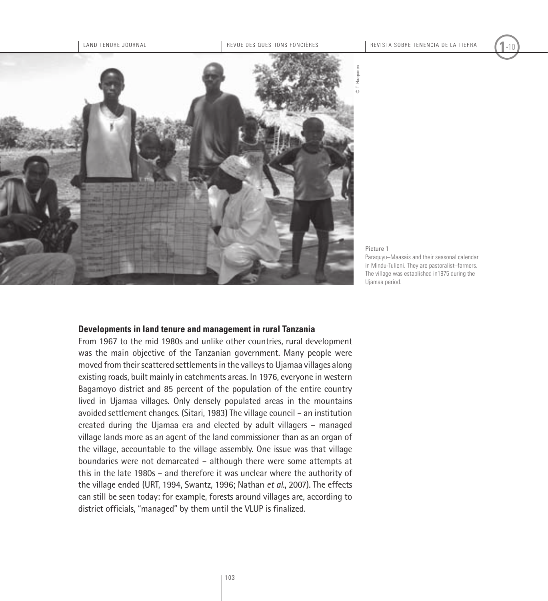

Picture 1

Paraquyu–Maasais and their seasonal calendar in Mindu-Tulieni. They are pastoralist–farmers. The village was established in1975 during the Ujamaa period.

#### **Developments in land tenure and management in rural Tanzania**

From 1967 to the mid 1980s and unlike other countries, rural development was the main objective of the Tanzanian government. Many people were moved from their scattered settlements in the valleys to Ujamaa villages along existing roads, built mainly in catchments areas. In 1976, everyone in western Bagamoyo district and 85 percent of the population of the entire country lived in Ujamaa villages. Only densely populated areas in the mountains avoided settlement changes. (Sitari, 1983) The village council – an institution created during the Ujamaa era and elected by adult villagers – managed village lands more as an agent of the land commissioner than as an organ of the village, accountable to the village assembly. One issue was that village boundaries were not demarcated – although there were some attempts at this in the late 1980s – and therefore it was unclear where the authority of the village ended (URT, 1994, Swantz, 1996; Nathan *et al*., 2007). The effects can still be seen today: for example, forests around villages are, according to district officials, "managed" by them until the VLUP is finalized.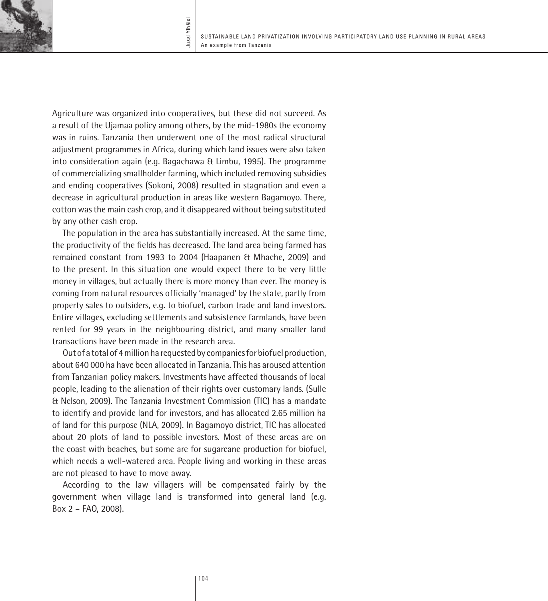

Agriculture was organized into cooperatives, but these did not succeed. As a result of the Ujamaa policy among others, by the mid-1980s the economy was in ruins. Tanzania then underwent one of the most radical structural adjustment programmes in Africa, during which land issues were also taken into consideration again (e.g. Bagachawa & Limbu, 1995). The programme of commercializing smallholder farming, which included removing subsidies and ending cooperatives (Sokoni, 2008) resulted in stagnation and even a decrease in agricultural production in areas like western Bagamoyo. There, cotton was the main cash crop, and it disappeared without being substituted by any other cash crop.

The population in the area has substantially increased. At the same time, the productivity of the fields has decreased. The land area being farmed has remained constant from 1993 to 2004 (Haapanen & Mhache, 2009) and to the present. In this situation one would expect there to be very little money in villages, but actually there is more money than ever. The money is coming from natural resources officially 'managed' by the state, partly from property sales to outsiders, e.g. to biofuel, carbon trade and land investors. Entire villages, excluding settlements and subsistence farmlands, have been rented for 99 years in the neighbouring district, and many smaller land transactions have been made in the research area.

Out of a total of 4 million ha requested by companies for biofuel production, about 640 000 ha have been allocated in Tanzania. This has aroused attention from Tanzanian policy makers. Investments have affected thousands of local people, leading to the alienation of their rights over customary lands. (Sulle & Nelson, 2009). The Tanzania Investment Commission (TIC) has a mandate to identify and provide land for investors, and has allocated 2.65 million ha of land for this purpose (NLA, 2009). In Bagamoyo district, TIC has allocated about 20 plots of land to possible investors. Most of these areas are on the coast with beaches, but some are for sugarcane production for biofuel, which needs a well-watered area. People living and working in these areas are not pleased to have to move away.

According to the law villagers will be compensated fairly by the government when village land is transformed into general land (e.g. Box 2 – FAO, 2008).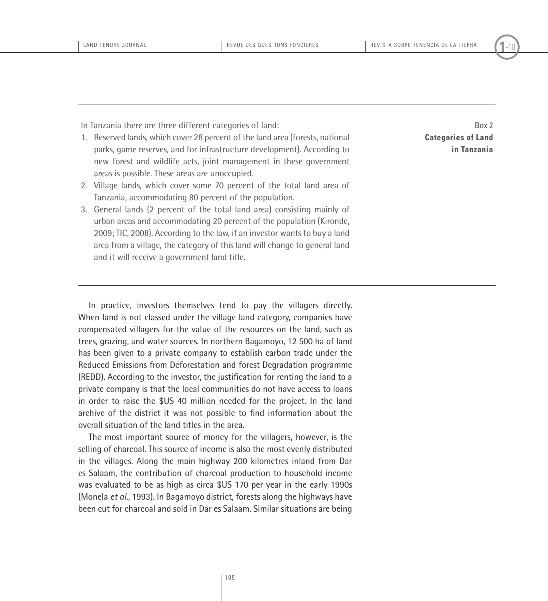In Tanzania there are three different categories of land:

- 1. Reserved lands, which cover 28 percent of the land area (forests, national parks, game reserves, and for infrastructure development). According to new forest and wildlife acts, joint management in these government areas is possible. These areas are unoccupied.
- 2. Village lands, which cover some 70 percent of the total land area of Tanzania, accommodating 80 percent of the population.
- 3. General lands (2 percent of the total land area) consisting mainly of urban areas and accommodating 20 percent of the population (Kironde, 2009; TIC, 2008). According to the law, if an investor wants to buy a land area from a village, the category of this land will change to general land and it will receive a government land title.

Box 2 **Categories of Land in Tanzania**

In practice, investors themselves tend to pay the villagers directly. When land is not classed under the village land category, companies have compensated villagers for the value of the resources on the land, such as trees, grazing, and water sources. In northern Bagamoyo, 12 500 ha of land has been given to a private company to establish carbon trade under the Reduced Emissions from Deforestation and forest Degradation programme (REDD). According to the investor, the justification for renting the land to a private company is that the local communities do not have access to loans in order to raise the \$US 40 million needed for the project. In the land archive of the district it was not possible to find information about the overall situation of the land titles in the area.

The most important source of money for the villagers, however, is the selling of charcoal. This source of income is also the most evenly distributed in the villages. Along the main highway 200 kilometres inland from Dar es Salaam, the contribution of charcoal production to household income was evaluated to be as high as circa \$US 170 per year in the early 1990s (Monela *et al*., 1993). In Bagamoyo district, forests along the highways have been cut for charcoal and sold in Dar es Salaam. Similar situations are being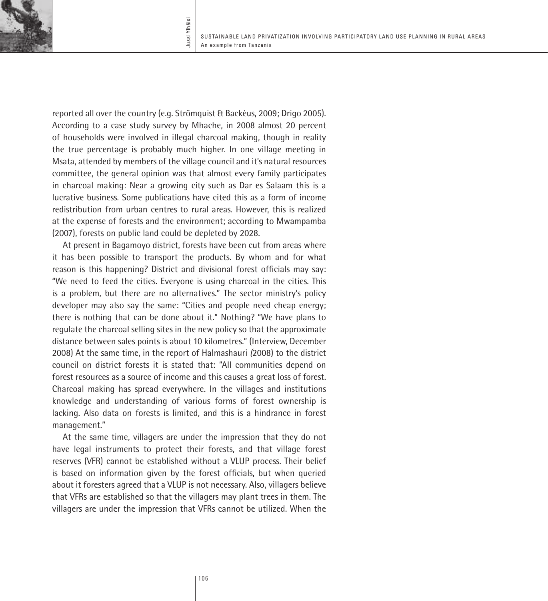

reported all over the country (e.g. Strömquist & Backéus, 2009; Drigo 2005). According to a case study survey by Mhache, in 2008 almost 20 percent of households were involved in illegal charcoal making, though in reality the true percentage is probably much higher. In one village meeting in Msata, attended by members of the village council and it's natural resources committee, the general opinion was that almost every family participates in charcoal making: Near a growing city such as Dar es Salaam this is a lucrative business. Some publications have cited this as a form of income redistribution from urban centres to rural areas. However, this is realized at the expense of forests and the environment; according to Mwampamba (2007), forests on public land could be depleted by 2028.

At present in Bagamoyo district, forests have been cut from areas where it has been possible to transport the products. By whom and for what reason is this happening? District and divisional forest officials may say: "We need to feed the cities. Everyone is using charcoal in the cities. This is a problem, but there are no alternatives." The sector ministry's policy developer may also say the same: "Cities and people need cheap energy; there is nothing that can be done about it." Nothing? "We have plans to regulate the charcoal selling sites in the new policy so that the approximate distance between sales points is about 10 kilometres." (Interview, December 2008) At the same time, in the report of Halmashauri *(*2008) to the district council on district forests it is stated that: "All communities depend on forest resources as a source of income and this causes a great loss of forest. Charcoal making has spread everywhere. In the villages and institutions knowledge and understanding of various forms of forest ownership is lacking. Also data on forests is limited, and this is a hindrance in forest management."

At the same time, villagers are under the impression that they do not have legal instruments to protect their forests, and that village forest reserves (VFR) cannot be established without a VLUP process. Their belief is based on information given by the forest officials, but when queried about it foresters agreed that a VLUP is not necessary. Also, villagers believe that VFRs are established so that the villagers may plant trees in them. The villagers are under the impression that VFRs cannot be utilized. When the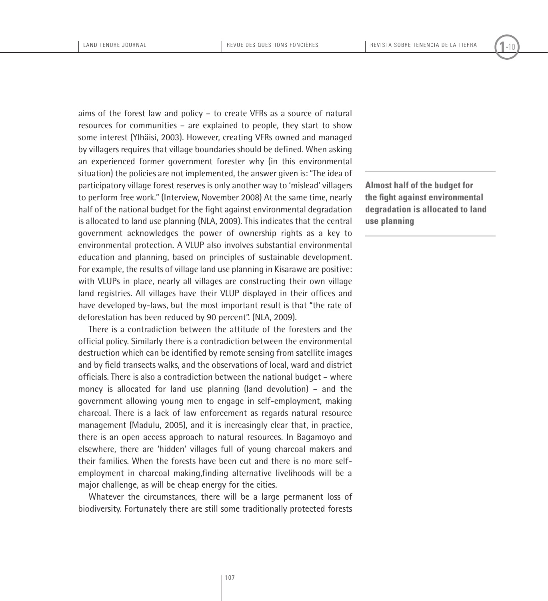aims of the forest law and policy – to create VFRs as a source of natural resources for communities – are explained to people, they start to show some interest (Ylhäisi, 2003). However, creating VFRs owned and managed by villagers requires that village boundaries should be defined. When asking an experienced former government forester why (in this environmental situation) the policies are not implemented, the answer given is: "The idea of participatory village forest reserves is only another way to 'mislead' villagers to perform free work." (Interview, November 2008) At the same time, nearly half of the national budget for the fight against environmental degradation is allocated to land use planning (NLA, 2009). This indicates that the central government acknowledges the power of ownership rights as a key to environmental protection. A VLUP also involves substantial environmental education and planning, based on principles of sustainable development. For example, the results of village land use planning in Kisarawe are positive: with VLUPs in place, nearly all villages are constructing their own village land registries. All villages have their VLUP displayed in their offices and have developed by-laws, but the most important result is that "the rate of deforestation has been reduced by 90 percent". (NLA, 2009).

There is a contradiction between the attitude of the foresters and the official policy. Similarly there is a contradiction between the environmental destruction which can be identified by remote sensing from satellite images and by field transects walks, and the observations of local, ward and district officials. There is also a contradiction between the national budget – where money is allocated for land use planning (land devolution) – and the government allowing young men to engage in self-employment, making charcoal. There is a lack of law enforcement as regards natural resource management (Madulu, 2005), and it is increasingly clear that, in practice, there is an open access approach to natural resources. In Bagamoyo and elsewhere, there are 'hidden' villages full of young charcoal makers and their families. When the forests have been cut and there is no more selfemployment in charcoal making,finding alternative livelihoods will be a major challenge, as will be cheap energy for the cities.

Whatever the circumstances, there will be a large permanent loss of biodiversity. Fortunately there are still some traditionally protected forests **Almost half of the budget for the fight against environmental degradation is allocated to land use planning**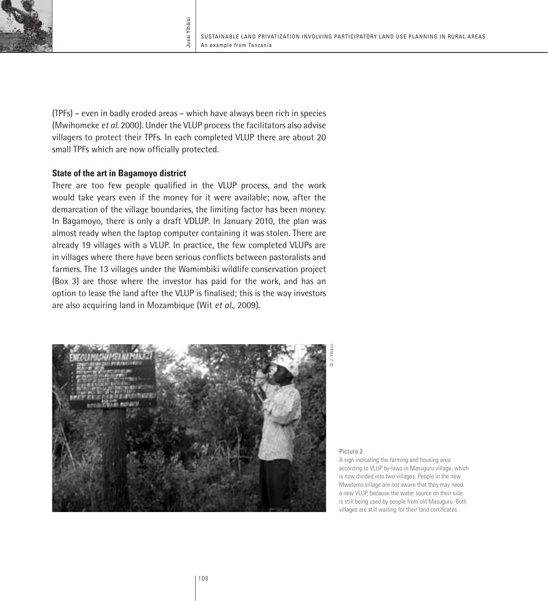

(TPFs) – even in badly eroded areas – which have always been rich in species (Mwihomeke *et al*. 2000). Under the VLUP process the facilitators also advise villagers to protect their TPFs. In each completed VLUP there are about 20 small TPFs which are now officially protected.

Jussi Ylhäisi

Jussi Ylhäisi

### **State of the art in Bagamoyo district**

There are too few people qualified in the VLUP process, and the work would take years even if the money for it were available; now, after the demarcation of the village boundaries, the limiting factor has been money. In Bagamoyo, there is only a draft VDLUP. In January 2010, the plan was almost ready when the laptop computer containing it was stolen. There are already 19 villages with a VLUP. In practice, the few completed VLUPs are in villages where there have been serious conflicts between pastoralists and farmers. The 13 villages under the Wamimbiki wildlife conservation project (Box 3) are those where the investor has paid for the work, and has an option to lease the land after the VLUP is finalised; this is the way investors are also acquiring land in Mozambique (Wit *et al*., 2009).



Picture 2

A sign indicating the farming and housing area according to VLUP by-laws in Masuguru village, which is now divided into two villages. People in the new Mwetemo village are not aware that they may need a new VLUP, because the water source on their side is still being used by people from old Masuguru. Both villages are still waiting for their land certificates.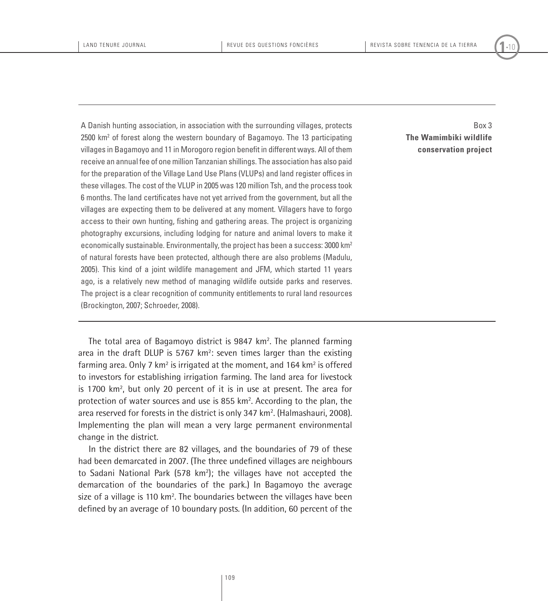A Danish hunting association, in association with the surrounding villages, protects 2500 km<sup>2</sup> of forest along the western boundary of Bagamoyo. The 13 participating villages in Bagamoyo and 11 in Morogoro region benefit in different ways. All of them receive an annual fee of one million Tanzanian shillings. The association has also paid for the preparation of the Village Land Use Plans (VLUPs) and land register offices in these villages. The cost of the VLUP in 2005 was 120 million Tsh, and the process took 6 months. The land certificates have not yet arrived from the government, but all the villages are expecting them to be delivered at any moment. Villagers have to forgo access to their own hunting, fishing and gathering areas. The project is organizing photography excursions, including lodging for nature and animal lovers to make it economically sustainable. Environmentally, the project has been a success: 3000 km2 of natural forests have been protected, although there are also problems (Madulu, 2005). This kind of a joint wildlife management and JFM, which started 11 years ago, is a relatively new method of managing wildlife outside parks and reserves. The project is a clear recognition of community entitlements to rural land resources (Brockington, 2007; Schroeder, 2008).

Box 3 **The Wamimbiki wildlife conservation project**

The total area of Bagamoyo district is 9847 km<sup>2</sup>. The planned farming area in the draft DLUP is  $5767 \text{ km}^2$ : seven times larger than the existing farming area. Only 7  $km^2$  is irrigated at the moment, and 164  $km^2$  is offered to investors for establishing irrigation farming. The land area for livestock is 1700 km<sup>2</sup>, but only 20 percent of it is in use at present. The area for protection of water sources and use is 855 km<sup>2</sup>. According to the plan, the area reserved for forests in the district is only 347 km<sup>2</sup>. (Halmashauri, 2008). Implementing the plan will mean a very large permanent environmental change in the district.

In the district there are 82 villages, and the boundaries of 79 of these had been demarcated in 2007. (The three undefined villages are neighbours to Sadani National Park (578 km<sup>2</sup>); the villages have not accepted the demarcation of the boundaries of the park.) In Bagamoyo the average size of a village is 110 km<sup>2</sup>. The boundaries between the villages have been defined by an average of 10 boundary posts. (In addition, 60 percent of the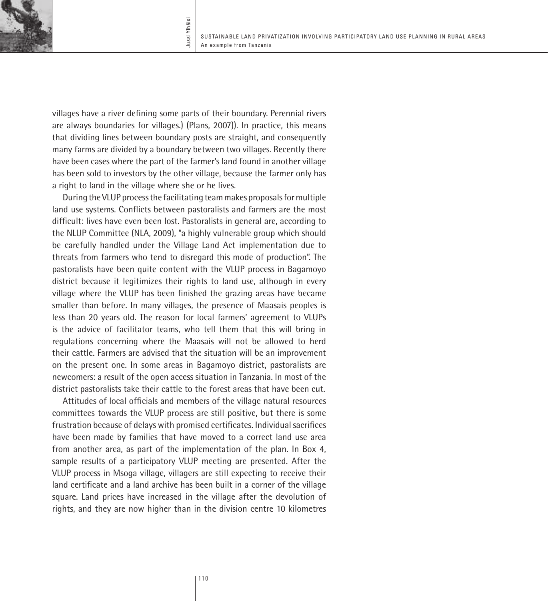

villages have a river defining some parts of their boundary. Perennial rivers are always boundaries for villages.) (Plans, 2007)). In practice, this means that dividing lines between boundary posts are straight, and consequently many farms are divided by a boundary between two villages. Recently there have been cases where the part of the farmer's land found in another village has been sold to investors by the other village, because the farmer only has a right to land in the village where she or he lives.

During the VLUP process the facilitating team makes proposals for multiple land use systems. Conflicts between pastoralists and farmers are the most difficult: lives have even been lost. Pastoralists in general are, according to the NLUP Committee (NLA, 2009), "a highly vulnerable group which should be carefully handled under the Village Land Act implementation due to threats from farmers who tend to disregard this mode of production". The pastoralists have been quite content with the VLUP process in Bagamoyo district because it legitimizes their rights to land use, although in every village where the VLUP has been finished the grazing areas have became smaller than before. In many villages, the presence of Maasais peoples is less than 20 years old. The reason for local farmers' agreement to VLUPs is the advice of facilitator teams, who tell them that this will bring in regulations concerning where the Maasais will not be allowed to herd their cattle. Farmers are advised that the situation will be an improvement on the present one. In some areas in Bagamoyo district, pastoralists are newcomers: a result of the open access situation in Tanzania. In most of the district pastoralists take their cattle to the forest areas that have been cut.

Attitudes of local officials and members of the village natural resources committees towards the VLUP process are still positive, but there is some frustration because of delays with promised certificates. Individual sacrifices have been made by families that have moved to a correct land use area from another area, as part of the implementation of the plan. In Box 4, sample results of a participatory VLUP meeting are presented. After the VLUP process in Msoga village, villagers are still expecting to receive their land certificate and a land archive has been built in a corner of the village square. Land prices have increased in the village after the devolution of rights, and they are now higher than in the division centre 10 kilometres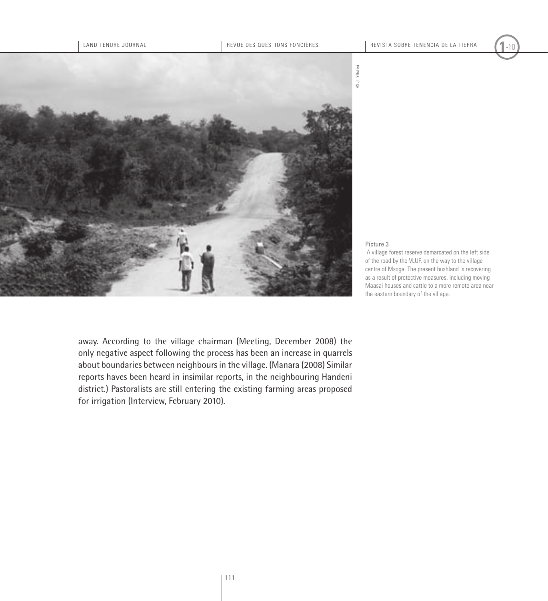

#### Picture 3

 A village forest reserve demarcated on the left side of the road by the VLUP, on the way to the village centre of Msoga. The present bushland is recovering as a result of protective measures, including moving Maasai houses and cattle to a more remote area near the eastern boundary of the village.

away. According to the village chairman (Meeting, December 2008) the only negative aspect following the process has been an increase in quarrels about boundaries between neighbours in the village. (Manara (2008) Similar reports haves been heard in insimilar reports, in the neighbouring Handeni district.) Pastoralists are still entering the existing farming areas proposed for irrigation (Interview, February 2010).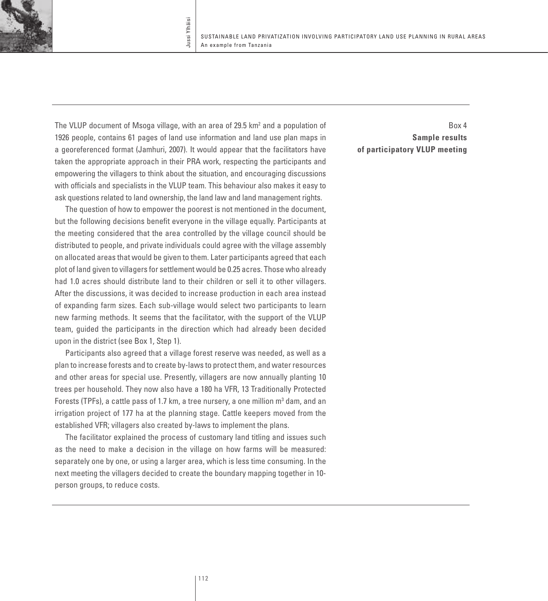The VLUP document of Msoga village, with an area of 29.5 km<sup>2</sup> and a population of 1926 people, contains 61 pages of land use information and land use plan maps in a georeferenced format (Jamhuri, 2007). It would appear that the facilitators have taken the appropriate approach in their PRA work, respecting the participants and empowering the villagers to think about the situation, and encouraging discussions with officials and specialists in the VLUP team. This behaviour also makes it easy to ask questions related to land ownership, the land law and land management rights.

Jussi Ylhäisi

Jussi Ylhäisi

The question of how to empower the poorest is not mentioned in the document, but the following decisions benefit everyone in the village equally. Participants at the meeting considered that the area controlled by the village council should be distributed to people, and private individuals could agree with the village assembly on allocated areas that would be given to them. Later participants agreed that each plot of land given to villagers for settlement would be 0.25 acres. Those who already had 1.0 acres should distribute land to their children or sell it to other villagers. After the discussions, it was decided to increase production in each area instead of expanding farm sizes. Each sub-village would select two participants to learn new farming methods. It seems that the facilitator, with the support of the VLUP team, guided the participants in the direction which had already been decided upon in the district (see Box 1, Step 1).

Participants also agreed that a village forest reserve was needed, as well as a plan to increase forests and to create by-laws to protect them, and water resources and other areas for special use. Presently, villagers are now annually planting 10 trees per household. They now also have a 180 ha VFR, 13 Traditionally Protected Forests (TPFs), a cattle pass of 1.7 km, a tree nursery, a one million  $m<sup>3</sup>$  dam, and an irrigation project of 177 ha at the planning stage. Cattle keepers moved from the established VFR; villagers also created by-laws to implement the plans.

The facilitator explained the process of customary land titling and issues such as the need to make a decision in the village on how farms will be measured: separately one by one, or using a larger area, which is less time consuming. In the next meeting the villagers decided to create the boundary mapping together in 10 person groups, to reduce costs.

Box 4 **Sample results of participatory VLUP meeting**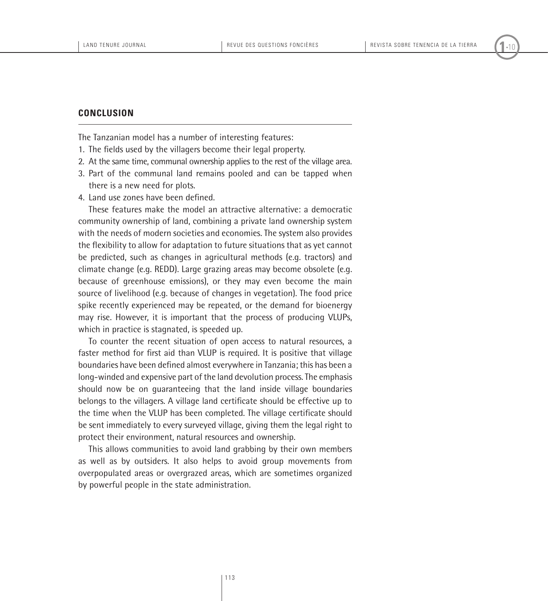#### **Conclusion**

The Tanzanian model has a number of interesting features:

- 1. The fields used by the villagers become their legal property.
- 2. At the same time, communal ownership applies to the rest of the village area.
- 3. Part of the communal land remains pooled and can be tapped when there is a new need for plots.
- 4. Land use zones have been defined.

These features make the model an attractive alternative: a democratic community ownership of land, combining a private land ownership system with the needs of modern societies and economies. The system also provides the flexibility to allow for adaptation to future situations that as yet cannot be predicted, such as changes in agricultural methods (e.g. tractors) and climate change (e.g. REDD). Large grazing areas may become obsolete (e.g. because of greenhouse emissions), or they may even become the main source of livelihood (e.g. because of changes in vegetation). The food price spike recently experienced may be repeated, or the demand for bioenergy may rise. However, it is important that the process of producing VLUPs, which in practice is stagnated, is speeded up.

To counter the recent situation of open access to natural resources, a faster method for first aid than VLUP is required. It is positive that village boundaries have been defined almost everywhere in Tanzania; this has been a long-winded and expensive part of the land devolution process. The emphasis should now be on guaranteeing that the land inside village boundaries belongs to the villagers. A village land certificate should be effective up to the time when the VLUP has been completed. The village certificate should be sent immediately to every surveyed village, giving them the legal right to protect their environment, natural resources and ownership.

This allows communities to avoid land grabbing by their own members as well as by outsiders. It also helps to avoid group movements from overpopulated areas or overgrazed areas, which are sometimes organized by powerful people in the state administration.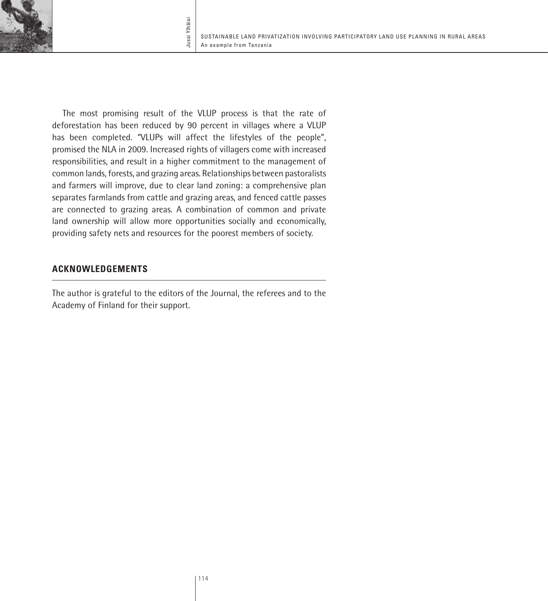

The most promising result of the VLUP process is that the rate of deforestation has been reduced by 90 percent in villages where a VLUP has been completed. "VLUPs will affect the lifestyles of the people", promised the NLA in 2009. Increased rights of villagers come with increased responsibilities, and result in a higher commitment to the management of common lands, forests, and grazing areas. Relationships between pastoralists and farmers will improve, due to clear land zoning: a comprehensive plan separates farmlands from cattle and grazing areas, and fenced cattle passes are connected to grazing areas. A combination of common and private land ownership will allow more opportunities socially and economically, providing safety nets and resources for the poorest members of society.

Jussi Ylhäisi

Jussi Ylhäisi

# **Acknowledgements**

The author is grateful to the editors of the Journal, the referees and to the Academy of Finland for their support.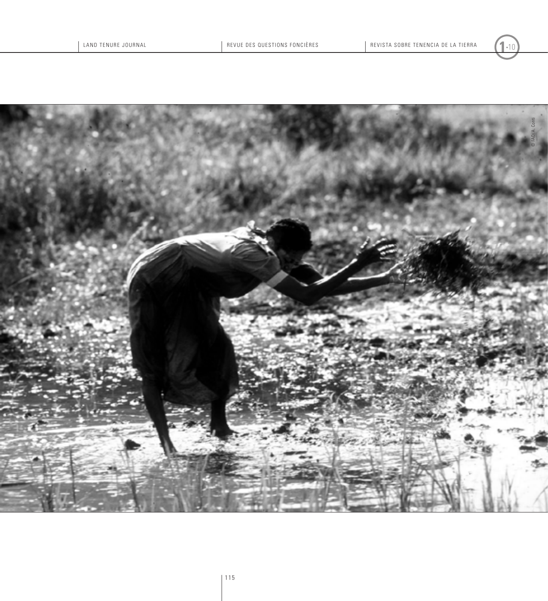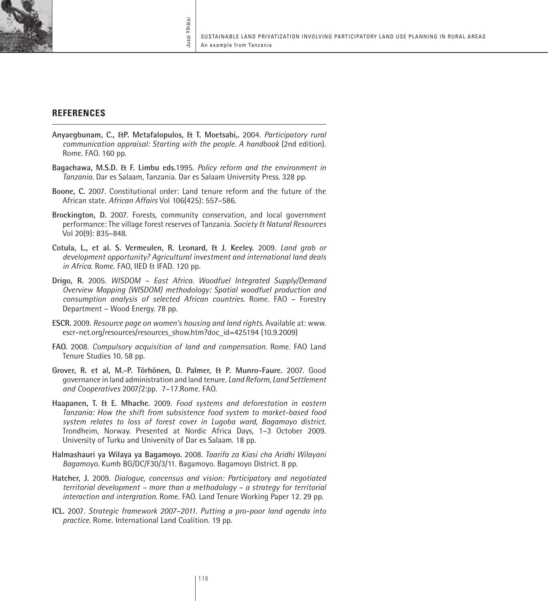

## **references**

- **Anyaegbunam, C., &P. Metafalopulos, & T. Moetsabi,.** 2004. *Participatory rural communication appraisal: Starting with the people. A handbook* (2nd edition). Rome. FAO. 160 pp.
- **Bagachawa, M.S.D. & F. Limbu eds.**1995. *Policy reform and the environment in Tanzania.* Dar es Salaam, Tanzania. Dar es Salaam University Press. 328 pp.
- **Boone, C.** 2007. Constitutional order: Land tenure reform and the future of the African state. *African Affairs* Vol 106(425): 557–586.
- **Brockington, D.** 2007. Forests, community conservation, and local government performance: The village forest reserves of Tanzania. *Society & Natural Resources* Vol 20(9): 835–848.
- **Cotula, L., et al. S. Vermeulen, R. Leonard, & J. Keeley.** 2009*. Land grab or development opportunity? Agricultural investment and international land deals in Africa.* Rome. FAO, IIED & IFAD. 120 pp.
- **Drigo, R.** 2005. *WISDOM East Africa. Woodfuel Integrated Supply/Demand Overview Mapping (WISDOM) methodology: Spatial woodfuel production and consumption analysis of selected African countries.* Rome. FAO – Forestry Department – Wood Energy. 78 pp.
- **ESCR.** 2009. *Resource page on women's housing and land rights.* Available at: www. escr-net.org/resources/resources\_show.htm?doc\_id=425194 (10.9.2009)
- **FAO.** 2008. *Compulsory acquisition of land and compensation.* Rome. FAO Land Tenure Studies 10. 58 pp.
- **Grover, R. et al, M.-P. Törhönen, D. Palmer, & P. Munro-Faure.** 2007. Good governance in land administration and land tenure*. Land Reform, Land Settlement and Cooperatives* 2007/2:pp. 7–17.Rome. FAO.
- **Haapanen, T. & E. Mhache.** 2009. *Food systems and deforestation in eastern Tanzania: How the shift from subsistence food system to market-based food system relates to loss of forest cover in Lugoba ward, Bagamoyo district.* Trondheim, Norway. Presented at Nordic Africa Days, 1–3 October 2009. University of Turku and University of Dar es Salaam. 18 pp.
- **Halmashauri ya Wilaya ya Bagamoyo.** 2008*. Taarifa za Kiasi cha Aridhi Wilayani Bagamoyo.* Kumb BG/DC/F30/3/11. Bagamoyo. Bagamoyo District. 8 pp.
- **Hatcher, J.** 2009. *Dialogue, concensus and vision: Participatory and negotiated territorial development – more than a methodology – a strategy for territorial interaction and intergration*. Rome. FAO. Land Tenure Working Paper 12. 29 pp.
- **ICL.** 2007. *Strategic framework 2007–2011. Putting a pro-poor land agenda into practice.* Rome. International Land Coalition. 19 pp.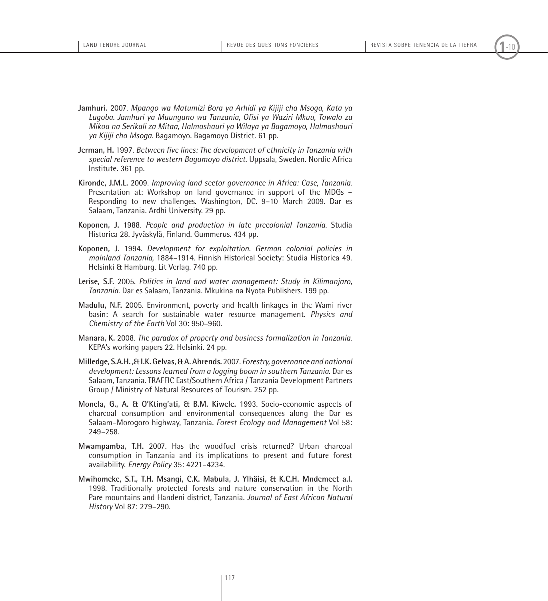- **Jamhuri.** 2007. *Mpango wa Matumizi Bora ya Arhidi ya Kijiji cha Msoga, Kata ya Lugoba. Jamhuri ya Muungano wa Tanzania, Ofisi ya Waziri Mkuu, Tawala za Mikoa na Serikali za Mitaa, Halmashauri ya Wilaya ya Bagamoyo, Halmashauri ya Kijiji cha Msoga.* Bagamoyo. Bagamoyo District. 61 pp.
- **Jerman, H.** 1997. *Between five lines: The development of ethnicity in Tanzania with special reference to western Bagamoyo district.* Uppsala, Sweden. Nordic Africa Institute. 361 pp.
- **Kironde, J.M.L.** 2009. *Improving land sector governance in Africa: Case, Tanzania.* Presentation at: Workshop on land governance in support of the MDGs – Responding to new challenges. Washington, DC. 9–10 March 2009. Dar es Salaam, Tanzania. Ardhi University. 29 pp.
- **Koponen, J.** 1988. *People and production in late precolonial Tanzania*. Studia Historica 28. Jyväskylä, Finland. Gummerus. 434 pp.
- **Koponen, J.** 1994. *Development for exploitation. German colonial policies in mainland Tanzania,* 1884–1914. Finnish Historical Society: Studia Historica 49. Helsinki & Hamburg. Lit Verlag. 740 pp.
- **Lerise, S.F.** 2005. *Politics in land and water management: Study in Kilimanjaro, Tanzania.* Dar es Salaam, Tanzania. Mkukina na Nyota Publishers. 199 pp.
- **Madulu, N.F.** 2005. Environment, poverty and health linkages in the Wami river basin: A search for sustainable water resource management. *Physics and Chemistry of the Earth* Vol 30: 950–960.
- **Manara, K.** 2008. *The paradox of property and business formalization in Tanzania*. KEPA's working papers 22. Helsinki. 24 pp.
- **Milledge, S.A.H. ,& I.K. Gelvas, & A. Ahrends.** 2007. *Forestry, governance and national development: Lessons learned from a logging boom in southern Tanzania*. Dar es Salaam, Tanzania. TRAFFIC East/Southern Africa / Tanzania Development Partners Group / Ministry of Natural Resources of Tourism. 252 pp.
- **Monela, G., A. & O'Kting'ati, & B.M. Kiwele.** 1993. Socio-economic aspects of charcoal consumption and environmental consequences along the Dar es Salaam–Morogoro highway, Tanzania. *Forest Ecology and Management* Vol 58: 249–258.
- **Mwampamba, T.H.** 2007. Has the woodfuel crisis returned? Urban charcoal consumption in Tanzania and its implications to present and future forest availability. *Energy Policy* 35: 4221–4234.
- **Mwihomeke, S.T., T.H. Msangi, C.K. Mabula, J. Ylhäisi, & K.C.H. Mndemeet a.l.** 1998. Traditionally protected forests and nature conservation in the North Pare mountains and Handeni district, Tanzania*. Journal of East African Natural History* Vol 87: 279–290.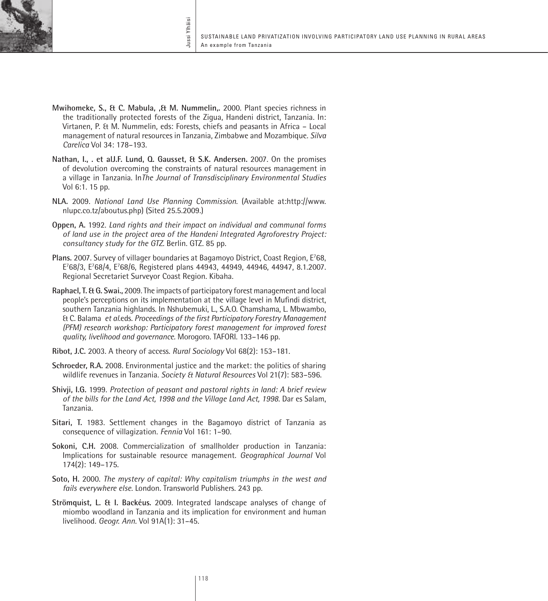

**Mwihomeke, S., & C. Mabula, ,& M. Nummelin,.** 2000. Plant species richness in the traditionally protected forests of the Zigua, Handeni district, Tanzania*.* In: Virtanen, P. & M. Nummelin, eds: Forests, chiefs and peasants in Africa – Local management of natural resources in Tanzania, Zimbabwe and Mozambique. *Silva Carelica* Vol 34: 178–193.

Jussi Ylhäisi

ussi Ylhäisi

- **Nathan, I., . et alJ.F. Lund, Q. Gausset, & S.K. Andersen.** 2007. On the promises of devolution overcoming the constraints of natural resources management in a village in Tanzania. In*The Journal of Transdisciplinary Environmental Studies* Vol 6:1. 15 pp.
- **NLA.** 2009. *National Land Use Planning Commission*. (Available at:http://www. nlupc.co.tz/aboutus.php) (Sited 25.5.2009.)
- **Oppen, A.** 1992. *Land rights and their impact on individual and communal forms of land use in the project area of the Handeni Integrated Agroforestry Project: consultancy study for the GTZ.* Berlin. GTZ. 85 pp.
- Plans. 2007. Survey of villager boundaries at Bagamoyo District, Coast Region, E<sup>7</sup>68, E7 68/3, E7 68/4, E7 68/6, Registered plans 44943, 44949, 44946, 44947, 8.1.2007. Regional Secretariet Surveyor Coast Region. Kibaha.
- **Raphael, T. & G. Swai.,** 2009. The impacts of participatory forest management and local people's perceptions on its implementation at the village level in Mufindi district, southern Tanzania highlands. In Nshubemuki, L., S.A.O. Chamshama, L. Mbwambo, & C. Balama *et al*.eds. *Proceedings of the first Participatory Forestry Management (PFM) research workshop: Participatory forest management for improved forest quality, livelihood and governance.* Morogoro. TAFORI. 133–146 pp.
- **Ribot, J.C.** 2003. A theory of access. *Rural Sociology* Vol 68(2): 153–181.
- **Schroeder, R.A.** 2008. Environmental justice and the market: the politics of sharing wildlife revenues in Tanzania. *Society & Natural Resources* Vol 21(7): 583–596.
- **Shivji, I.G.** 1999. *Protection of peasant and pastoral rights in land: A brief review of the bills for the Land Act, 1998 and the Village Land Act, 1998*. Dar es Salam, Tanzania.
- **Sitari, T.** 1983. Settlement changes in the Bagamoyo district of Tanzania as consequence of villagization. *Fennia* Vol 161: 1–90.
- **Sokoni, C.H.** 2008. Commercialization of smallholder production in Tanzania: Implications for sustainable resource management. *Geographical Journal* Vol 174(2): 149–175.
- **Soto, H.** 2000. *The mystery of capital: Why capitalism triumphs in the west and fails everywhere else.* London. Transworld Publishers. 243 pp.
- **Strömquist, L. & I. Backéus.** 2009. Integrated landscape analyses of change of miombo woodland in Tanzania and its implication for environment and human livelihood. *Geogr. Ann.* Vol 91A(1): 31–45.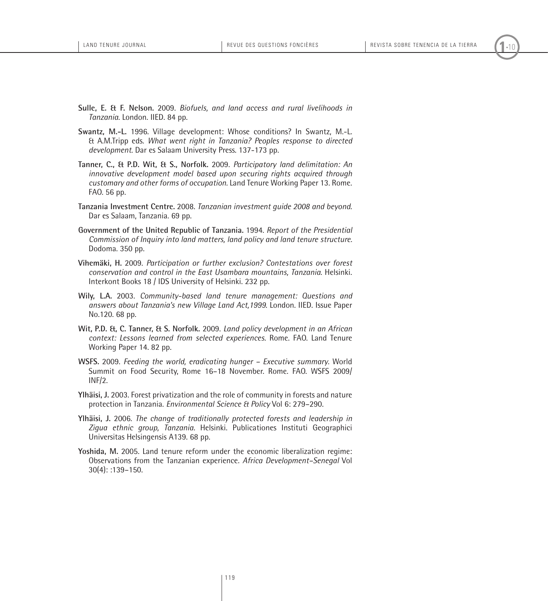- **Sulle, E. & F. Nelson.** 2009. *Biofuels, and land access and rural livelihoods in Tanzania.* London. IIED. 84 pp.
- **Swantz, M.-L.** 1996. Village development: Whose conditions? In Swantz, M.-L. & A.M.Tripp eds. *What went right in Tanzania? Peoples response to directed development*. Dar es Salaam University Press. 137-173 pp.
- **Tanner, C., & P.D. Wit, & S., Norfolk.** 2009. *Participatory land delimitation: An innovative development model based upon securing rights acquired through customary and other forms of occupation.* Land Tenure Working Paper 13. Rome. FAO. 56 pp.
- **Tanzania Investment Centre.** 2008. *Tanzanian investment guide 2008 and beyond*. Dar es Salaam, Tanzania. 69 pp.
- **Government of the United Republic of Tanzania.** 1994. *Report of the Presidential Commission of Inquiry into land matters, land policy and land tenure structure.*  Dodoma. 350 pp.
- **Vihemäki, H.** 2009. *Participation or further exclusion? Contestations over forest conservation and control in the East Usambara mountains, Tanzania*. Helsinki. Interkont Books 18 / IDS University of Helsinki. 232 pp.
- **Wily, L.A.** 2003. *Community-based land tenure management: Questions and answers about Tanzania's new Village Land Act,1999*. London. IIED. Issue Paper No.120. 68 pp.
- **Wit, P.D. &, C. Tanner, & S. Norfolk.** 2009. *Land policy development in an African context: Lessons learned from selected experiences.* Rome. FAO. Land Tenure Working Paper 14. 82 pp.
- **WSFS.** 2009. *Feeding the world, eradicating hunger – Executive summary*. World Summit on Food Security, Rome 16–18 November. Rome. FAO. WSFS 2009/ INF/2.
- **Ylhäisi, J.** 2003. Forest privatization and the role of community in forests and nature protection in Tanzania. *Environmental Science & Policy* Vol 6: 279–290.
- **Ylhäisi, J.** 2006. *The change of traditionally protected forests and leadership in Zigua ethnic group, Tanzania.* Helsinki. Publicationes Instituti Geographici Universitas Helsingensis A139. 68 pp.
- **Yoshida, M.** 2005. Land tenure reform under the economic liberalization regime: Observations from the Tanzanian experience. *Africa Development–Senegal* Vol 30(4): :139–150.